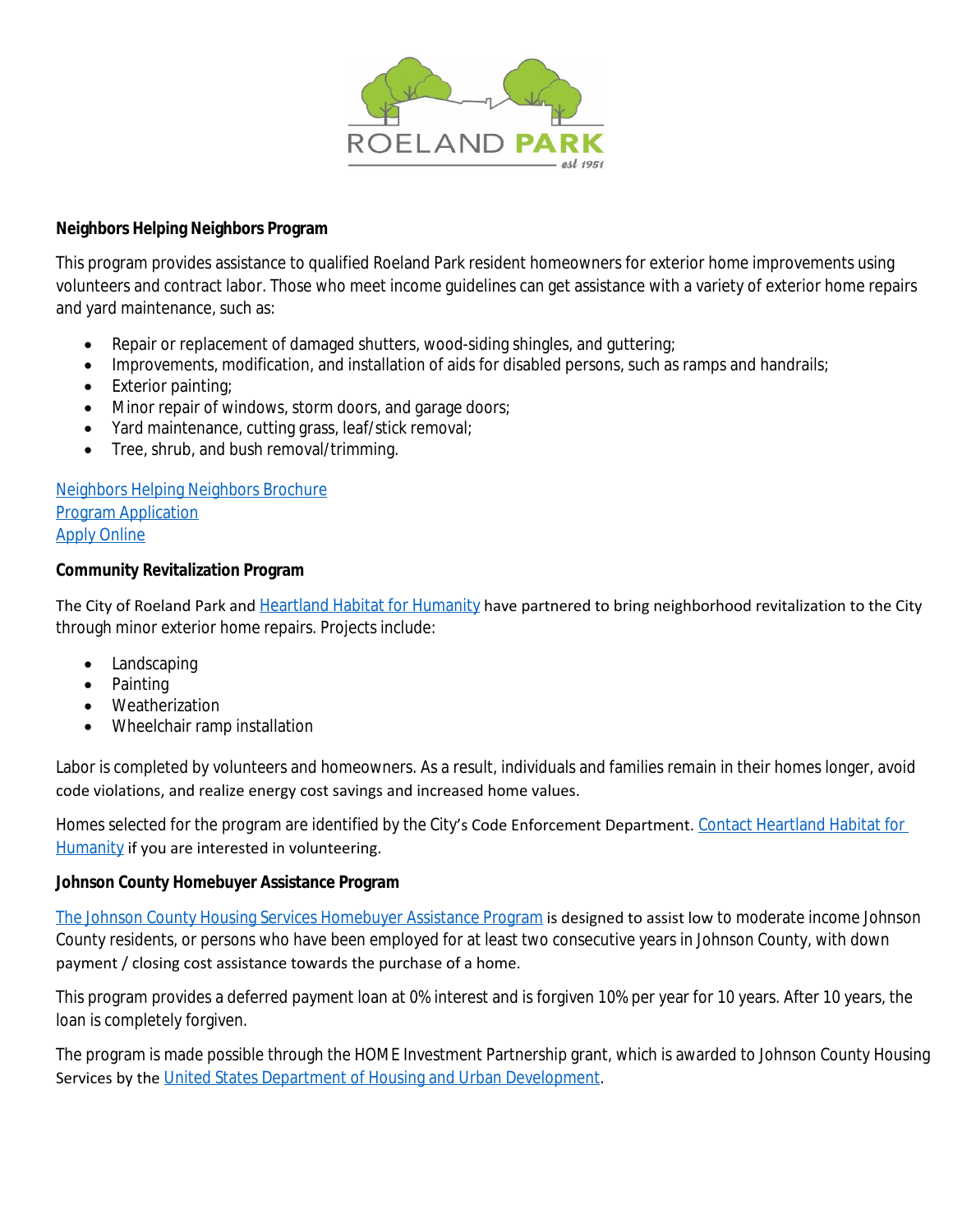

#### **Neighbors Helping Neighbors Program**

This program provides assistance to qualified Roeland Park resident homeowners for exterior home improvements using volunteers and contract labor. Those who meet income guidelines can get assistance with a variety of exterior home repairs and yard maintenance, such as:

- Repair or replacement of damaged shutters, wood-siding shingles, and guttering;
- Improvements, modification, and installation of aids for disabled persons, such as ramps and handrails;
- Exterior painting;
- Minor repair of windows, storm doors, and garage doors;
- Yard maintenance, cutting grass, leaf/stick removal;
- Tree, shrub, and bush removal/trimming.

[Neighbors Helping Neighbors Brochure](https://www.roelandpark.net/DocumentCenter/View/2467) [Program Application](https://www.roelandpark.net/DocumentCenter/View/2466) [Apply Online](https://www.roelandpark.net/FormCenter/Neighborhood-Services-4/Neighbors-Helping-Neighbors-57)

## **Community Revitalization Program**

The City of Roeland Park and [Heartland Habitat for Humanity](https://habitatkc.org/) have partnered to bring neighborhood revitalization to the City through minor exterior home repairs. Projects include:

- Landscaping
- Painting
- Weatherization
- Wheelchair ramp installation

Labor is completed by volunteers and homeowners. As a result, individuals and families remain in their homes longer, avoid code violations, and realize energy cost savings and increased home values.

Homes selected for the program are identified by the City's Code Enforcement Department. [Contact Heartland Habitat for](https://habitatkc.org/contact-us/)  Humanity if you are interested in volunteering.

## **Johnson County Homebuyer Assistance Program**

[The Johnson County Housing Services Homebuyer Assistance Program](https://www.hud.gov/) is designed to assist low to moderate income Johnson County residents, or persons who have been employed for at least two consecutive years in Johnson County, with down payment / closing cost assistance towards the purchase of a home.

This program provides a deferred payment loan at 0% interest and is forgiven 10% per year for 10 years. After 10 years, the loan is completely forgiven.

The program is made possible through the HOME Investment Partnership grant, which is awarded to Johnson County Housing Services by the [United States Department of Housing and Urban Development.](https://www.hud.gov/)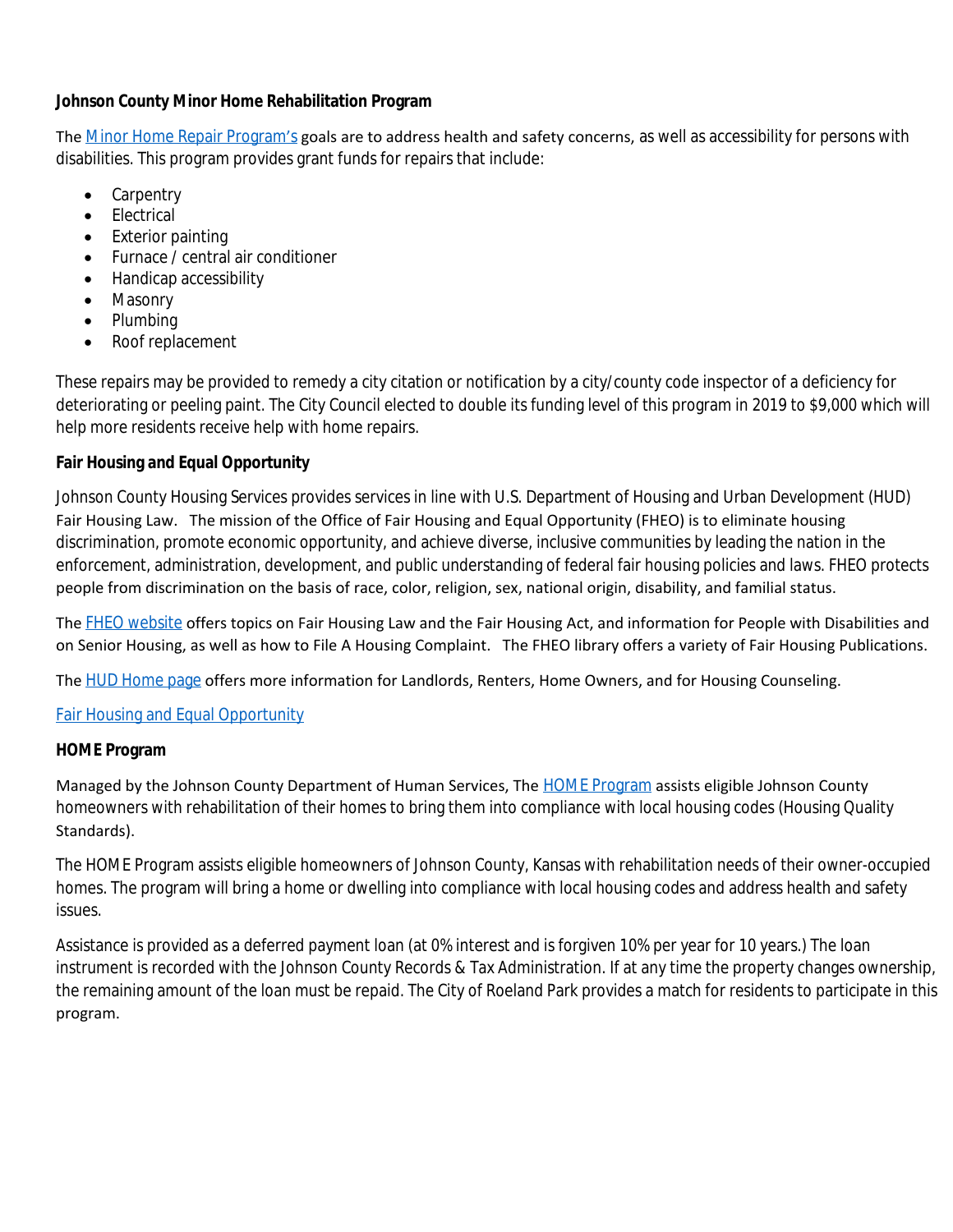### **Johnson County Minor Home Rehabilitation Program**

The [Minor Home Repair Program](https://www.jocogov.org/dept/human-services/housing/minor-home-rehabilitation)'s goals are to address health and safety concerns, as well as accessibility for persons with disabilities. This program provides grant funds for repairs that include:

- Carpentry
- Electrical
- Exterior painting
- Furnace / central air conditioner
- Handicap accessibility
- Masonry
- Plumbing
- Roof replacement

These repairs may be provided to remedy a city citation or notification by a city/county code inspector of a deficiency for deteriorating or peeling paint. The City Council elected to double its funding level of this program in 2019 to \$9,000 which will help more residents receive help with home repairs.

## **Fair Housing and Equal Opportunity**

Johnson County Housing Services provides services in line with U.S. Department of Housing and Urban Development (HUD) Fair Housing Law. The mission of the Office of Fair Housing and Equal Opportunity (FHEO) is to eliminate housing discrimination, promote economic opportunity, and achieve diverse, inclusive communities by leading the nation in the enforcement, administration, development, and public understanding of federal fair housing policies and laws. FHEO protects people from discrimination on the basis of race, color, religion, sex, national origin, disability, and familial status.

The [FHEO website](https://www.hud.gov/program_offices/fair_housing_equal_opp) offers topics on Fair Housing Law and the Fair Housing Act, and information for People with Disabilities and on Senior Housing, as well as how to File A Housing Complaint. The FHEO library offers a variety of Fair Housing Publications.

The [HUD Home page](https://www.hud.gov/) offers more information for Landlords, Renters, Home Owners, and for Housing Counseling.

## [Fair Housing and Equal Opportunity](https://www.jocogov.org/dept/human-services/housing/fair-housing-equal-opportunity)

## **HOME Program**

Managed by the Johnson County Department of Human Services, The **[HOME Program](https://www.jocogov.org/dept/human-services/housing/home-program)** assists eligible Johnson County homeowners with rehabilitation of their homes to bring them into compliance with local housing codes (Housing Quality Standards).

The HOME Program assists eligible homeowners of Johnson County, Kansas with rehabilitation needs of their owner-occupied homes. The program will bring a home or dwelling into compliance with local housing codes and address health and safety issues.

Assistance is provided as a deferred payment loan (at 0% interest and is forgiven 10% per year for 10 years.) The loan instrument is recorded with the Johnson County Records & Tax Administration. If at any time the property changes ownership, the remaining amount of the loan must be repaid. The City of Roeland Park provides a match for residents to participate in this program.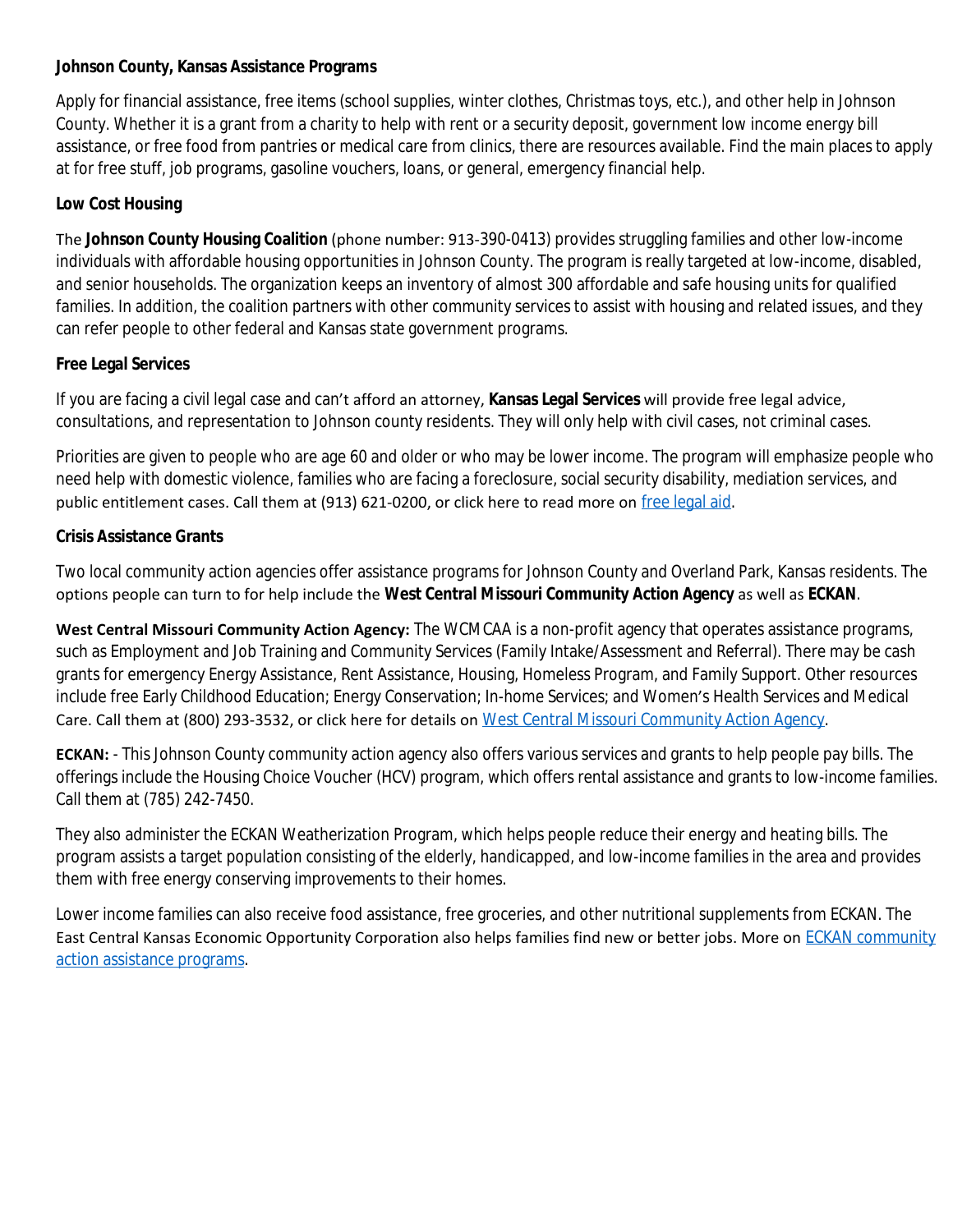### **Johnson County, Kansas Assistance Programs**

Apply for financial assistance, free items (school supplies, winter clothes, Christmas toys, etc.), and other help in Johnson County. Whether it is a grant from a charity to help with rent or a security deposit, government low income energy bill assistance, or free food from pantries or medical care from clinics, there are resources available. Find the main places to apply at for free stuff, job programs, gasoline vouchers, loans, or general, emergency financial help.

## **Low Cost Housing**

The **Johnson County Housing Coalition** (phone number: 913-390-0413) provides struggling families and other low-income individuals with affordable housing opportunities in Johnson County. The program is really targeted at low-income, disabled, and senior households. The organization keeps an inventory of almost 300 affordable and safe housing units for qualified families. In addition, the coalition partners with other community services to assist with housing and related issues, and they can refer people to other federal and Kansas state government programs.

# **Free Legal Services**

If you are facing a civil legal case and can't afford an attorney, **Kansas Legal Services** will provide free legal advice, consultations, and representation to Johnson county residents. They will only help with civil cases, not criminal cases.

Priorities are given to people who are age 60 and older or who may be lower income. The program will emphasize people who need help with domestic violence, families who are facing a foreclosure, social security disability, mediation services, and public entitlement cases. Call them at (913) 621-0200, or click here to read more on [free legal aid.](https://www.needhelppayingbills.com/html/free_legal_advice.html)

# **Crisis Assistance Grants**

Two local community action agencies offer assistance programs for Johnson County and Overland Park, Kansas residents. The options people can turn to for help include the **West Central Missouri Community Action Agency** as well as **ECKAN**.

**West Central Missouri Community Action Agency:** The WCMCAA is a non-profit agency that operates assistance programs, such as Employment and Job Training and Community Services (Family Intake/Assessment and Referral). There may be cash grants for emergency Energy Assistance, Rent Assistance, Housing, Homeless Program, and Family Support. Other resources include free Early Childhood Education; Energy Conservation; In-home Services; and Women's Health Services and Medical Care. Call them at (800) 293-3532, or click here for details on [West Central Missouri Community Action Agency.](https://www.needhelppayingbills.com/html/west_central_missouri_communit.html)

**ECKAN:** - This Johnson County community action agency also offers various services and grants to help people pay bills. The offerings include the Housing Choice Voucher (HCV) program, which offers rental assistance and grants to low-income families. Call them at (785) 242-7450.

They also administer the ECKAN Weatherization Program, which helps people reduce their energy and heating bills. The program assists a target population consisting of the elderly, handicapped, and low-income families in the area and provides them with free energy conserving improvements to their homes.

Lower income families can also receive food assistance, free groceries, and other nutritional supplements from ECKAN. The East Central Kansas Economic Opportunity Corporation also helps families find new or better jobs. More on **[ECKAN community](https://www.needhelppayingbills.com/html/east_central_kansas_economic_opportunity_corporation_programs.html)** action assistance programs.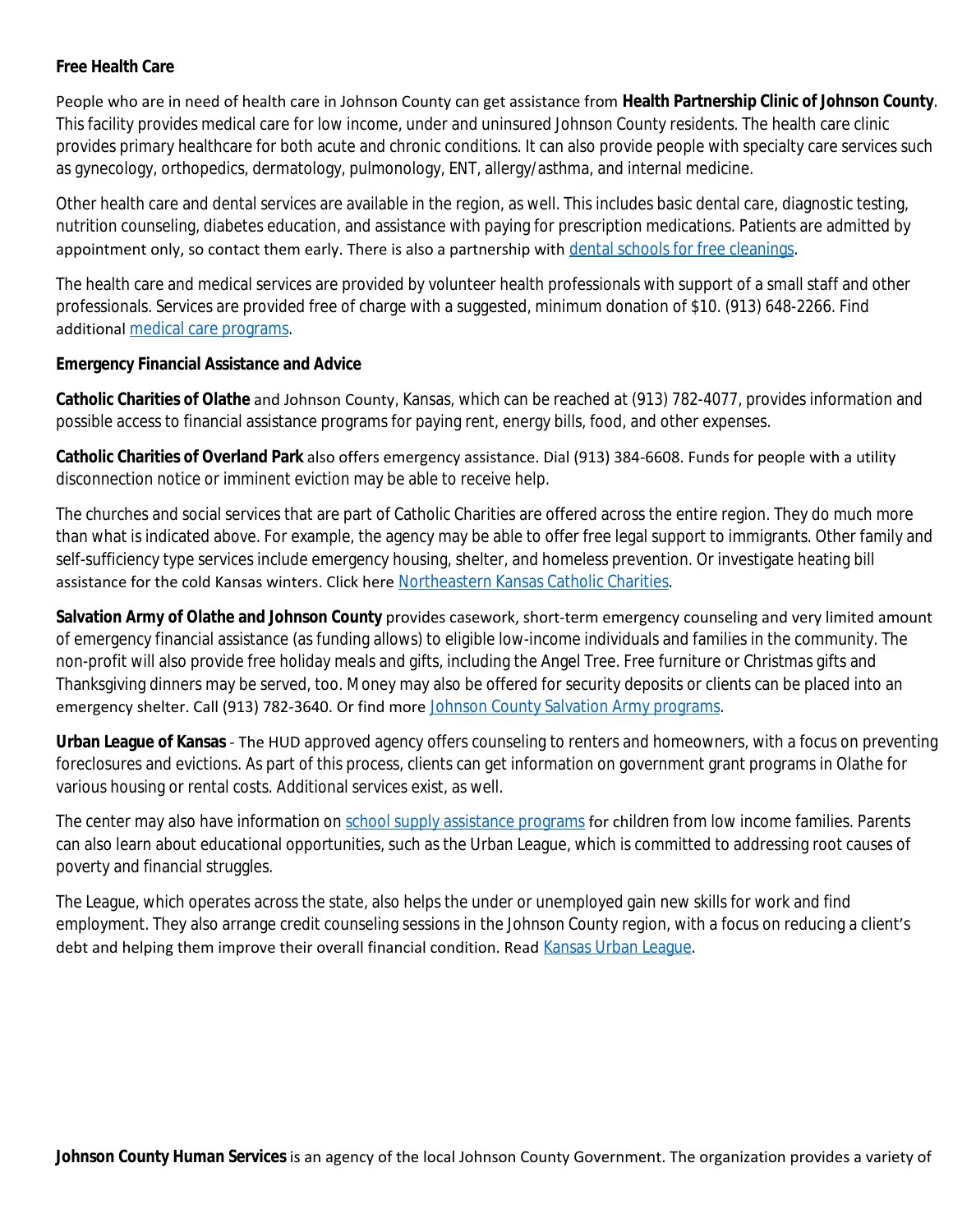#### **Free Health Care**

People who are in need of health care in Johnson County can get assistance from **Health Partnership Clinic of Johnson County**. This facility provides medical care for low income, under and uninsured Johnson County residents. The health care clinic provides primary healthcare for both acute and chronic conditions. It can also provide people with specialty care services such as gynecology, orthopedics, dermatology, pulmonology, ENT, allergy/asthma, and internal medicine.

Other health care and dental services are available in the region, as well. This includes basic dental care, diagnostic testing, nutrition counseling, diabetes education, and assistance with paying for prescription medications. Patients are admitted by appointment only, so contact them early. There is also a partnership with [dental schools for free cleanings](https://www.needhelppayingbills.com/html/dental_school_clinics.html).

The health care and medical services are provided by volunteer health professionals with support of a small staff and other professionals. Services are provided free of charge with a suggested, minimum donation of \$10. (913) 648-2266. Find additional [medical care programs](https://www.needhelppayingbills.com/html/help_with_medical_bills.html).

### **Emergency Financial Assistance and Advice**

**Catholic Charities of Olathe** and Johnson County, Kansas, which can be reached at (913) 782-4077, provides information and possible access to financial assistance programs for paying rent, energy bills, food, and other expenses.

**Catholic Charities of Overland Park** also offers emergency assistance. Dial (913) 384-6608. Funds for people with a utility disconnection notice or imminent eviction may be able to receive help.

The churches and social services that are part of Catholic Charities are offered across the entire region. They do much more than what is indicated above. For example, the agency may be able to offer free legal support to immigrants. Other family and self-sufficiency type services include emergency housing, shelter, and homeless prevention. Or investigate heating bill assistance for the cold Kansas winters. Click here [Northeastern Kansas Catholic Charities.](https://www.needhelppayingbills.com/html/northeastern_kansas_catholic_c.html)

**Salvation Army of Olathe and Johnson County** provides casework, short-term emergency counseling and very limited amount of emergency financial assistance (as funding allows) to eligible low-income individuals and families in the community. The non-profit will also provide free holiday meals and gifts, including the Angel Tree. Free furniture or Christmas gifts and Thanksgiving dinners may be served, too. Money may also be offered for security deposits or clients can be placed into an emergency shelter. Call (913) 782-3640. Or find more [Johnson County Salvation Army programs.](https://www.needhelppayingbills.com/html/johnson_county_salvation_army_.html)

**Urban League of Kansas** - The HUD approved agency offers counseling to renters and homeowners, with a focus on preventing foreclosures and evictions. As part of this process, clients can get information on government grant programs in Olathe for various housing or rental costs. Additional services exist, as well.

The center may also have information on [school supply assistance programs](https://www.needhelppayingbills.com/html/find_free_school_supplies.html) for children from low income families. Parents can also learn about educational opportunities, such as the Urban League, which is committed to addressing root causes of poverty and financial struggles.

The League, which operates across the state, also helps the under or unemployed gain new skills for work and find employment. They also arrange credit counseling sessions in the Johnson County region, with a focus on reducing a client's debt and helping them improve their overall financial condition. Read [Kansas Urban League](https://www.needhelppayingbills.com/html/urban_league_of_kansas_assista.html).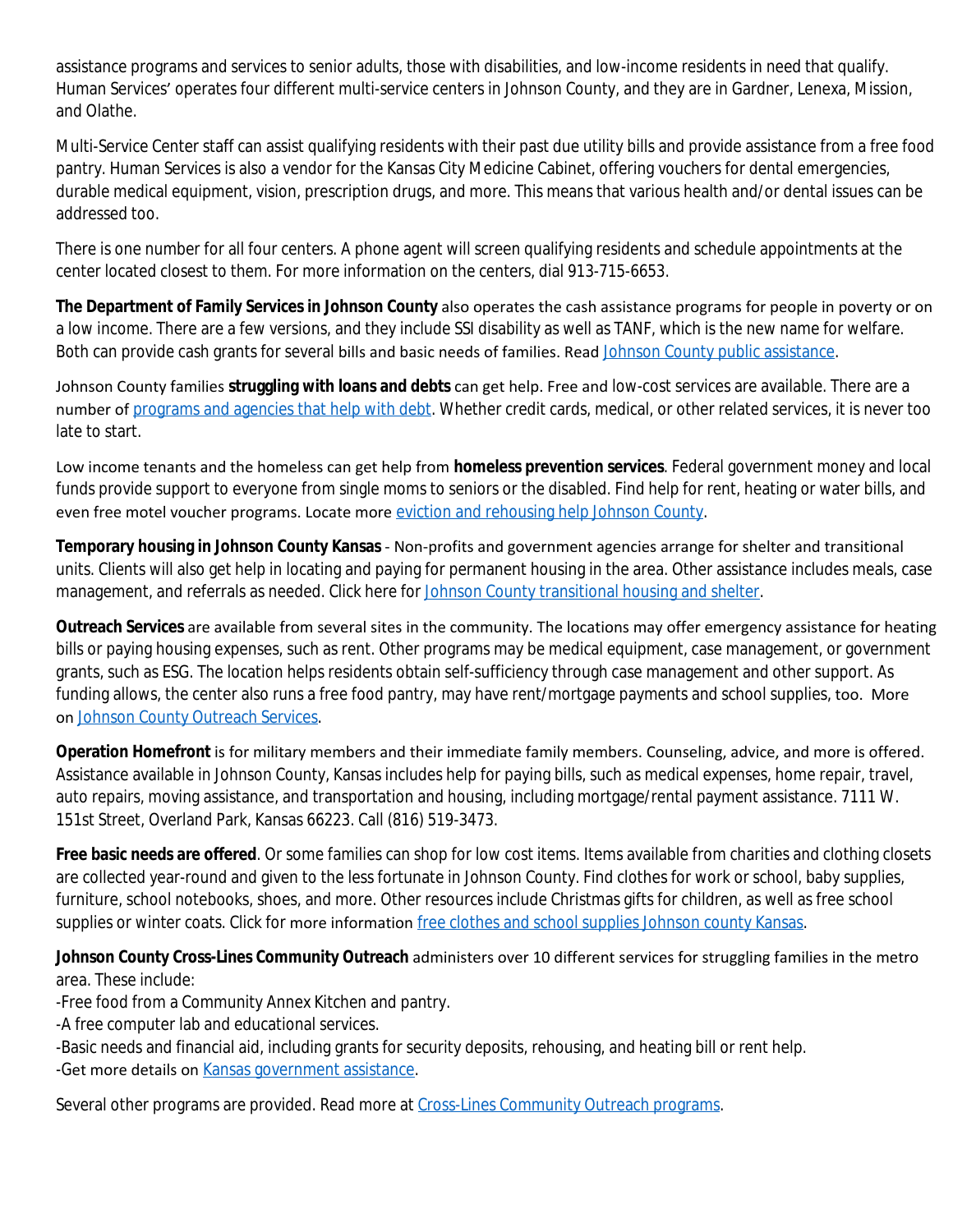assistance programs and services to senior adults, those with disabilities, and low-income residents in need that qualify. Human Services' operates four different multi-service centers in Johnson County, and they are in Gardner, Lenexa, Mission, and Olathe.

Multi-Service Center staff can assist qualifying residents with their past due utility bills and provide assistance from a free food pantry. Human Services is also a vendor for the Kansas City Medicine Cabinet, offering vouchers for dental emergencies, durable medical equipment, vision, prescription drugs, and more. This means that various health and/or dental issues can be addressed too.

There is one number for all four centers. A phone agent will screen qualifying residents and schedule appointments at the center located closest to them. For more information on the centers, dial 913-715-6653.

**The Department of Family Services in Johnson County** also operates the cash assistance programs for people in poverty or on a low income. There are a few versions, and they include SSI disability as well as TANF, which is the new name for welfare. Both can provide cash grants for several bills and basic needs of families. Read [Johnson County public assistance.](https://www.needhelppayingbills.com/html/johnson_county_public_assistan.html)

Johnson County families **struggling with loans and debts** can get help. Free and low-cost services are available. There are a number of [programs and agencies that help with debt](https://www.needhelppayingbills.com/html/help_paying_debt.html). Whether credit cards, medical, or other related services, it is never too late to start.

Low income tenants and the homeless can get help from **homeless prevention services**. Federal government money and local funds provide support to everyone from single moms to seniors or the disabled. Find help for rent, heating or water bills, and even free motel voucher programs. Locate more [eviction and rehousing help Johnson County](https://www.needhelppayingbills.com/html/johnson_county_homeless_preventi.html).

**Temporary housing in Johnson County Kansas** - Non-profits and government agencies arrange for shelter and transitional units. Clients will also get help in locating and paying for permanent housing in the area. Other assistance includes meals, case management, and referrals as needed. Click here for [Johnson County transitional housing and shelter](https://www.needhelppayingbills.com/html/sedgewick_and_johnson_county_t.html).

**Outreach Services** are available from several sites in the community. The locations may offer emergency assistance for heating bills or paying housing expenses, such as rent. Other programs may be medical equipment, case management, or government grants, such as ESG. The location helps residents obtain self-sufficiency through case management and other support. As funding allows, the center also runs a free food pantry, may have rent/mortgage payments and school supplies, too. More on [Johnson County Outreach Services](https://www.needhelppayingbills.com/html/johnson_county_outreach_servic.html).

**Operation Homefront** is for military members and their immediate family members. Counseling, advice, and more is offered. Assistance available in Johnson County, Kansas includes help for paying bills, such as medical expenses, home repair, travel, auto repairs, moving assistance, and transportation and housing, including mortgage/rental payment assistance. 7111 W. 151st Street, Overland Park, Kansas 66223. Call (816) 519-3473.

**Free basic needs are offered**. Or some families can shop for low cost items. Items available from charities and clothing closets are collected year-round and given to the less fortunate in Johnson County. Find clothes for work or school, baby supplies, furniture, school notebooks, shoes, and more. Other resources include Christmas gifts for children, as well as free school supplies or winter coats. Click for more information [free clothes and school supplies Johnson county Kansas](https://www.needhelppayingbills.com/html/johnson_county_clothing_closets.html).

**Johnson County Cross-Lines Community Outreach** administers over 10 different services for struggling families in the metro area. These include:

-Free food from a Community Annex Kitchen and pantry.

-A free computer lab and educational services.

-Basic needs and financial aid, including grants for security deposits, rehousing, and heating bill or rent help.

-Get more details on [Kansas government assistance](https://www.needhelppayingbills.com/html/kansas_public_assistance.html).

Several other programs are provided. Read more at [Cross-Lines Community Outreach programs.](https://www.needhelppayingbills.com/html/cross-lines_community_outreach_e.html)